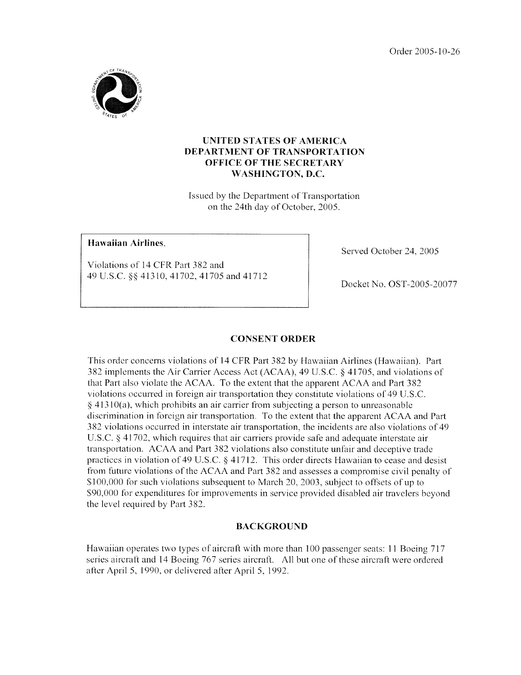Order 2005- 10-26



## **UNITED STATES OF AMERICA DEPARTMENT OF TRANSPORTATION OFFICE OF THE SECRETARY WASHINGTON. D.C.**

Issued by the Department of Transportation **<sup>011</sup>**the 24th day of October, *2005.* 

# **Hawaiian Airlines.**

Violations of 14 CFR Part 382 and 49 U.S.C. \$9 413lO,4I702,4l705 and 41712 Served October 24, 2005

Docket No. OST-2005-20077

### **CONSENT ORDER**

This order concerns violations of 14 CFR Part 382 by Hawaiian Airlines (Hawaiian). Part 382 implemeiits the Air Carrier Access Act (ACAA), 49 U.S.C. *6* 41705, and violations of that Part also violate the ACAA. To the extent that the apparent ACAA and Part 382 violations occurred in foreign air transportation they constitute violations of 49 U.S.C. **<sup>Q</sup>**41 3 1 *()(a),*which prohibits an air carrier from subjecting a person to unreasonable discrimination in foreign air transportation. To the extent that the apparent ACAA and Part 382 violations occurred in interstate air transportation, the incidents are also violations of 49 U.S.C. § 41702, which requires that air carriers provide safe and adequate interstate air transportation. ACAA and Part 382 violations also constitute unfair and deceptive trade practices in violation of 49 U.S.C.  $\S$  41712. This order directs Hawaiian to cease and desist from future violations of the ACAA and Part 382 and assesses a compromise civil penalty of **9;** 100,000 for such violations subsequent to March 20, 2003, subject to offsets of up to \$90,000 for expenditures for improvements in service provided disabled air travelers beyond the level required by Part 382.

### **BACKGROUND**

Hawaiian operates two types of aircraft with more than 100 passenger seats: 11 Boeing 717 series aircraft and 14 Boeing 767 series aircraft. All but one of these aircraft were ordered after April *5,* 1990, or delivered after April 5, 1992.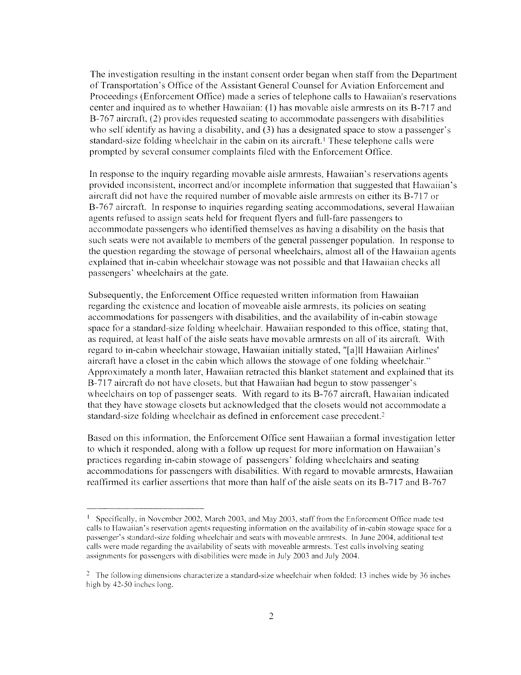The investigation resulting in the instant consent order began when staff from the Department of Transportation's Office of the Assistant General Counsel for Aviation Enforcement and Proceedings (Enforcement Office) made a series of telephone calls to Hawaiian's reservations center and inquired as to whether Hawaiian:  $(1)$  has movable aisle armrests on its B-717 and B-767 aircraft, (2) provides requested seating to accommodate passengers with disabilities who self identify as having a disability, and (3) has a designated space to stow a passenger's standard-size folding wheelchair in the cabin on its aircraft.<sup>1</sup> These telephone calls were prompted by several consumer complaints filed with the Enforcement Office.

In response to the inquiry regarding movable aisle armiests, Hawaiian's reservations agents provided inconsistent, incorrect andor incomplete information that suggested that Hawaiian's aircraft did not have the required number of movable aisle armrests on either its B-717 or B-767 aircraft. In response to inquiries regarding seating accommodations, several Hawaiian agents refiised to assign seats held for frequent flyers and full-fare passengers to accommodate passengers who identified themselves as having a disability on the basis that such seats were not available to members of the general passenger population. In response to the question regarding the stowage of personal wheelchairs, almost all of the Hawaiian agents explained that in-cabin wheelchair stowage was not possible and that Hawaiian checks all passengers' wheelchairs at the gate.

Subsequently, the Enforcement Office requested written information from Hawaiian regarding the existence and location of moveable aisle armrests, its policies on seating accommodations for passengers with disabilities, and the availability of in-cabin stowage space for a standard-size folding wheelchair. Hawaiian responded to this office, stating that, as required, at least half of the aisle seats have movable armiests on all of its aircraft. With regard to in-cabin wheelchair stowage, Hawaiian initially stated, "[all1 Hawaiian Airlines' aircraft have a closet in the cabin which allows the stowage of one folding wheelchair." Approximately a month later, Hawaiian retracted this blanket statement and explained that its B-7 17 aircraft do not have closets, but that Hawaiian had begun to stow passenger's wheelchairs on top of passenger seats. With regard to its B-767 aircraft, Hawaiian indicated that they have stowage closets but acknowledged that the closets would not accommodate a standard-size folding wheelchair as defined in enforcement case precedent.<sup>2</sup>

Based on this information, the Enforcement Office sent Hawaiian a formal investigation letter to which it responded, along with a follow up request for more infonnation on Hawaiian's practiccs rcgarding in-cabin stowage of passengers' folding wheelchairs and seating accommodations for passengers with disabilities. With regard to movable armrests, Hawaiian reaffirmed its earlier assertions that more than half of the aisle seats on its B-717 and B-767

<sup>&</sup>lt;sup>1</sup> Specifically, in November 2002, March 2003, and May 2003, staff from the Enforcement Office made test calls to IIawaiian's reservation agents requesting information on the availability of in-cabin stowage space for a passenger's standard-size folding wheelchair and seats with moveable armrests. In June 2004, additional test calls were made regarding the availability of seats with moveable armrests. Test calls involving seating assignments for passengers with disabilities were made in July 2003 and July 2004.

<sup>&</sup>lt;sup>2</sup> The following dimensions characterize a standard-size wheelchair when folded: 13 inches wide by 36 inches high by  $42-50$  inches long.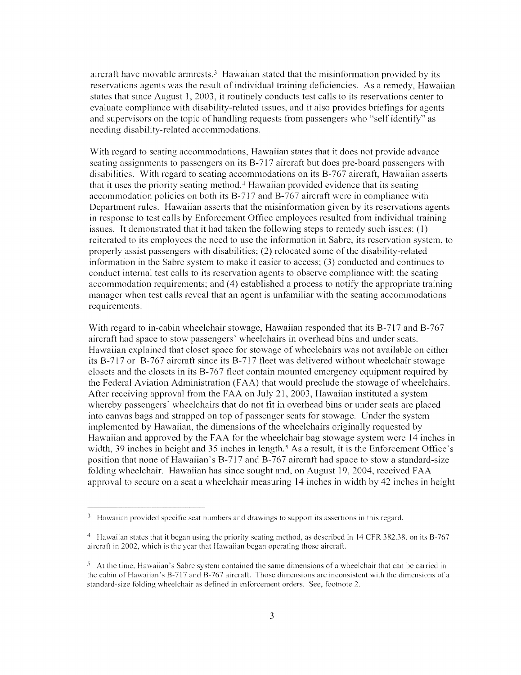aircraft have movable armetsts.<sup>3</sup> Hawaiian stated that the misinformation provided by its reservations agents was the result of individual training deficiencies. As a remedy, Hawaiian states that since August 1, 2003, it routinely conducts test calls to its reservations center to evaluate compliance with disability-related issues, and it also provides briefings for agents and supcrvisors on the topic of handling requests from passengers who "self identify" as needing disability-related accommodations.

With regard to seating accommodations, Hawaiian states that it does not provide advance seating assignments to passengers on its B-717 aircraft but does pre-board passengers with disabilitics With regard to seating accommodations on its B-767 aircraft, Hawaiian asserts that it uses the priority seating method.<sup>4</sup> Hawaiian provided evidence that its seating accommodation policies on both its B-717 and B-767 aircraft were in compliance with Department rules. Hawaiian asserts that the misinformation given by its reservations agents in response to test calls by Enforcement Office employees resulted from individual training issues. It demonstrated that it had taken the following steps to remedy such issues:  $(1)$ reiterated to its employees the need to use the information in Sabre, its reservation system, to properly assist passengers with disabilities; (2) relocated sane of the disability-related information in the Sabre system to make it easier to access; (3) conducted and continues to conduct internal test calls to its reservation agents to observe compliance with the seating accommodation requirements; and (4) established a process to notify the appropriate training inanager when test calls reveal that an agent is unfamiliar with the seating accommodations requirements.

With regard to in-cabin wheelchair stowage, Hawaiian responded that its B-717 and B-767 aircraft had space to stow passengers' wheelchairs in overhead bins and under seats. Hawaiian explained that closet space for stowage of'wheelchairs was not available on either its B-717 or B-767 aircraft since its B-717 fleet was delivered without wheelchair stowage closets and the closets in its B-767 fleet contain mounted emergency equipment required by the Federal Aviation Administration (FAA) that would preclude the stowage of wheelchairs. After receiving approval from the FAA on July 21, 2003, Hawaiian instituted a system whereby passengers' wheelchairs that do not fit in overhead bins or under seats are placed into canvas bags and strapped on top of passenger seats for stowage. Under the system implemented by Hawaiian, the dimensions of the wheelchairs originally requested by Hawaiian and approved by the FAA for the wheelchair bag stowage system were 14 inches in width, 39 inches in height and 35 inches in length.<sup>5</sup> As a result, it is the Enforcement Office's position that none of Hawaiian's B-717 and B-767 aircraft had space to stow a standard-size folding wheelchair. Hawaiian has since sought and, on August 19, 2004, received FAA approval to secure on a seat a wheelchair measuring 14 inches in width by 42 inches in height

<sup>&</sup>lt;sup>3</sup> Hawaiian provided specific seat numbers and drawings to support its assertions in this regard.

<sup>&</sup>lt;sup>4</sup> Hawaiian states that it began using the priority seating method, as described in 14 CFR 382.38, on its B-767 aircraft in 2002, which is the year that Hawaiian began operating those aircraft.

 $5$  At the time. Hawaiian's Sabre system contained the same dimensions of a wheelchair that can be carried in the cabin of Hawaiian's B-717 and B-767 aircraft. Those dimensions are inconsistent with the dimensions of a standard-size tblding wheelchair as defined in enforcement orders. See, footnote *2.*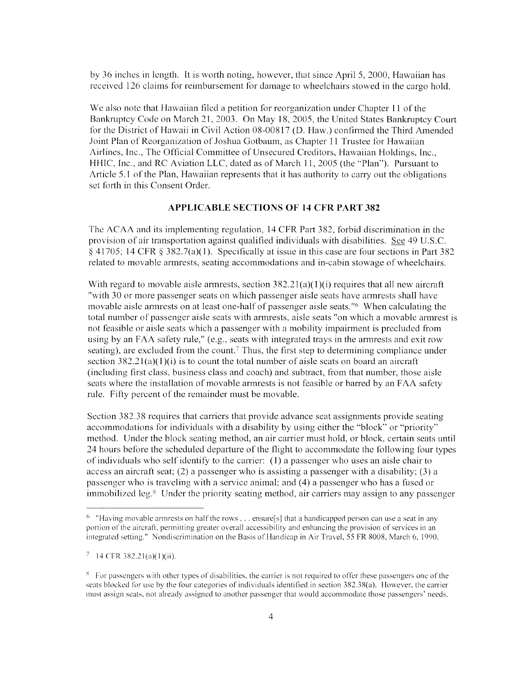by 36 inches in length. It is worth noting, however, that since April 5, 2000, Hawaiian has received 126 claims for reimbursement for damage to wheelchairs stowed in the cargo hold.

We also note that Hawaiian filed a petition for reorganization under Chapter 11 of the Bankruptcy Code on March 21, 2003. On May 18, 2005, the United States Bankruptcy Court for the District of Hawaii in Civil Action 08-00817 (D. Haw.) confirmed the Third Amended Joint Plan of Reorganization of Joshua Gotbaum, as Chapter 11 Trustee for Hawaiian Airlines, Inc., The Official Committee of Unsecured Creditors, Hawaiian Holdings, Inc., HHIC, Inc., and RC Aviation LLC, dated as of March 11, 2005 (the "Plan"). Pursuant to Article 5.1 of the Plan, Hawaiian represents that it has authority to carry out the obligations set forth in this Consent Order.

#### **APPLICABLE SECTIONS OF 14 CFR PART 382**

The ACAA and its implementing regulation, 14 CFR Part 382, forbid discrimination in the provision of air transportation against qualified individuals with disabilities. *See* 49 U.S.C.  $\S$  41705; 14 CFR  $\S$  382.7(a)(1). Specifically at issue in this case are four sections in Part 382 related to movable armrests, seating accommodations and in-cabin stowage of wheelchairs.

With regard to movable aisle armrests, section  $382.21(a)(1)(i)$  requires that all new aircraft "with 30 or more passenger seats on which passenger aisle seats have armrests shall have movable aisle armrests on at least one-half of passenger aisle seats."<sup>6</sup> When calculating the total number of passenger aisle seats with armrests, aisle seats "on which a movable armrest is not feasible or aisle seats which a passenger with a mobility impairment is prccluded from using by an FAA safety rule," (e.g., seats with integrated trays in the armiests and exit row seating), are excluded from the count.<sup>7</sup> Thus, the first step to determining compliance under section 382.2 1*(a)(*l)(i) is to count the total number of aisle seats **on** board an aircraft (including first class, business class and coach) and subtract, from that number, those aisle scats where the installation of movable armrests is not feasible or barred by an FAA safety rule. Fifty percent of the remainder mist be movable.

Section 382.38 requires that carriers that provide advance seat assignments provide seating accommodations for individuals with a disability by using either the "block" or "priority" method. Under the block seating method, an air carrier must hold, or block, certain seats until 24 hours before the scheduled departure of the flight to accommodate the following four types of individuals who self identify to the carrier: (1) a passenger who uses an aisle chair to access an aircraft seat; (2) a passenger who is assisting a passenger with a disability; (3) a passenger who is traveling mith a service animal; and (4) a passenger who has a fused or immobilized leg.<sup>8</sup> Under the priority seating method, air carriers may assign to any passenger

<sup>&</sup>lt;sup>6</sup> "Having movable armrests on half the rows . . . ensure[s] that a handicapped person can use a seat in any portion of the aircraft, permitting greater overall accessibility and enhancing the provision of services in an integrated setting." Nondiscrimination on the Basis of Handicap in Air Travel, 55 FR 8008, March 6, 1990.

 $7 \t14$  CFR 382.21(a)(1)(ii).

<sup>&</sup>lt;sup>8</sup> For passengers with other types of disabilities, the carrier is not required to offer these passengers one of the seats blocked for use by the four categories of individuals identified in section 382.38(a). However, the carrier must assign seats, not already assigned to another passenger that would accommodate those passengers' needs.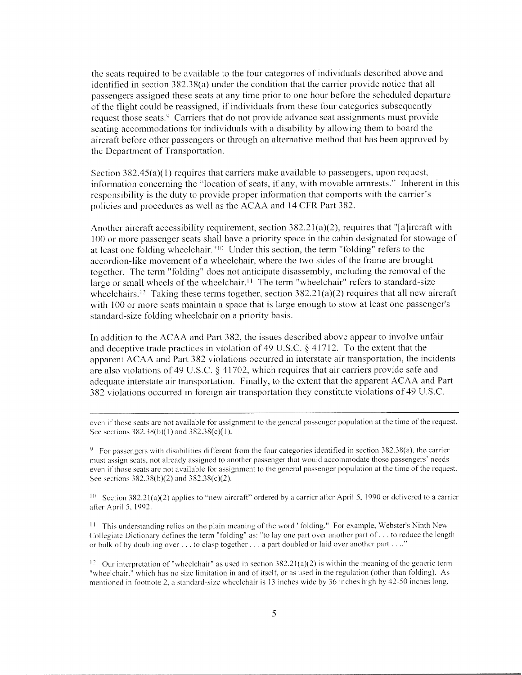the seats required to be available to the four categories of individuals described above and identified in section 382.38(a) under the condition that the carrier provide notice that all passengers assigned these seats at any time prior to one hour before the scheduled departure of the flight could be reassigned, if individuals from these four categories subsequently request those seats.<sup>9</sup> Carriers that do not provide advance seat assignments must provide seating accommodations for individuals with a disability by allowing them to board the aircraft before other passengers or through an alternative method that has been approved by the Department of Transportation.

Section  $382.45(a)(1)$  requires that carriers make available to passengers, upon request, information concerning the "location of seats, if any, with movable armrests." Inherent in this responsibility is the duty to provide proper information that comports with the carrier's policies and procedures as well *as* the ACAA and 14 CFR Part 382.

Another aircraft accessibility requirement, section  $382.21(a)(2)$ , requires that "[a]ircraft with 100 or more passenger seats shall have a priority space in the cabin designated for stowage of at least one folding wheelchair."<sup>10</sup> Under this section, the term "folding" refers to the accordion-like movement of a wheelchair, where the two sides of the frame are brought together. The term "folding" does not anticipate disassembly, including the removal of the large or small wheels of the wheelchair.<sup> $\text{11}$ </sup> The term "wheelchair" refers to standard-size wheelchairs.<sup>12</sup> Taking these terms together, section  $382.21(a)(2)$  requires that all new aircraft with 100 or more seats maintain *a* space that is large enough to stow at least one passenger's standard-size folding wheelchair on a priority basis.

In addition to the ACAA and Part 382, the issues described above appear to involve unfair **a~id**deceptive trade practices in violation of49 U.S.C. *3* 41712. To the extent that the apparent ACAA and Part 382 violations occurred in interstate air transportation, the incidents are also violations of49 U.S.C. *3* 41702, which requires that air carriers provide safe and adequate interstate air transportation. Finally, to the extent that the apparent ACAA and Part 382 violations occurred in foreign air transportation they constitute violations of49 U.S.C.

even if those seats are not available for assignment to the general passenger population at the time of the request. See sections  $382.38(b)(1)$  and  $382.38(c)(1)$ .

 $9\degree$  For passengers with disabilities different from the four categories identified in section 382.38(a), the carrier must assign seats, not already assigned to another passenger that would accommodate those passengers' needs even if those seats are not available for assignment to the general passenger population at the time of the request. See sections 382.38(b)(2) and  $382.38(c)(2)$ .

 $10$  Section 382.21(a)(2) applies to "new aircraft" ordered by a carrier after April 5, 1990 or delivered to a carrier after April 5, 1092.

 $11$  This understanding relies on the plain meaning of the word "folding." For example, Webster's Ninth New Collegiate Dictionary defines the term "folding" as: "to lay one part over another part of. . . to reduce the length or bulk of by doubling over . . . to clasp together . . . a part doubled or laid over another part . . .."

<sup>12</sup> Our interpretation of "wheelchair" as used in section  $382.21(a)(2)$  is within the meaning of the generic term "wheelchair," which has no size limitation in and of itself, or as used in the regulation (other than folding). As mentioned in footnote 2, a standard-size wheelchair is 13 inches wide by 36 inches high by 42-50 inches long.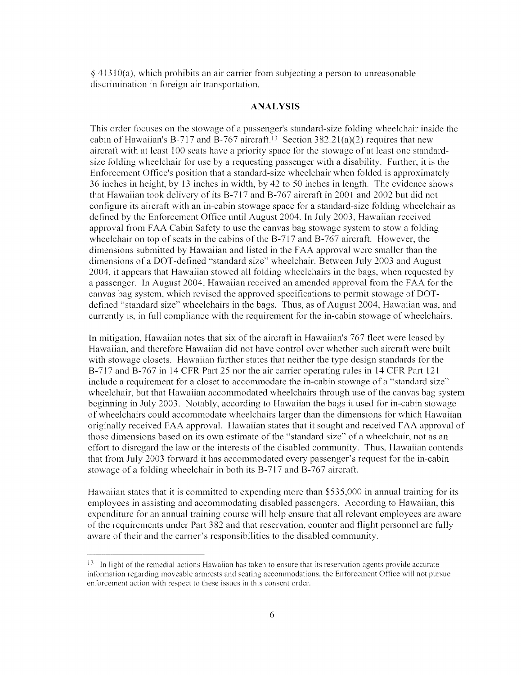$\frac{41310(a)}{a}$ , which prohibits an air carrier from subjecting a person to unreasonable discrimination in foreign air transportation.

#### **ANALYSIS**

This order focuses on the stowage of a passenger's standard-size folding wheelchair inside the cabin of Hawaiian's B-717 and B-767 aircraft.<sup>13</sup> Section 382.21(a)(2) requires that new aircraft with at least 100 seats have a priority space for the stowage of at least one standard-**SIX** folding mheelchair for use by a requesting passenger with a disability. Further, it is the Enforcement Office's position that a standard-size wheelchair when folded is approximately  $36$  inches in height, by 13 inches in width, by 42 to 50 inches in length. The evidence shows that Hawaiian took delivery of its B-717 and B-767 aircraft in 2001 and 2002 but did not configure its aircraft with an in-cabin stowage space for a standard-size folding wheelchair as defined by the Enforcement Office until August 2004. In July 2003, Hawaiian received approval from FAA Cabin Safety to use the canvas bag stowage system to stow a folding wheelchair on top of seats in the cabins of the B-717 and B-767 aircraft. However, the dimensions submitted by Hawaiian and listed in the FAA approval were smaller than the dimensions of a DOT-defined "standard size" wheelchair. Between July 2003 and August 2004, it appears that Hawaiian stowed all folding wheelchairs in the bags, when requested by a passenger. In August 2004, Hawaiian received an amended approval from the FAA for the canvas bag system, which revised the approved specifications to permit stowage of DOTdefined "standard size" wheelchairs in the bags. Thus, as of August 2004, Hawaiian was, and currently is, in full compliance with the requirement for the in-cabin stowage of wheelchairs.

In mitigation, Hawaiian notes that six of the aircraft in Hawaiian's 767 fleet were leased by Hawaiian. and therefore Hawaiian did not have control over whether such aircraft were built with stowage closets. Hawaiian further states that neither the type design standards for the B-717 and B-767 in 14 CFR Part 25 nor the air carrier operating rules in 14 CFR Part 121 include a requirement for a closet to accommodate the in-cabin stowage of a "standard size" wheelchair, but that Hawaiian accommodated wheelchairs through use of the canvas bag system beginning in July 2003. Notably, according to Hawaiian the bags it used for in-cabin stowage of wheelchairs could accommodate wheelchairs larger than the dirneiisions for which Hawaiian originally received FAA approval. Hawaiian states that it sought and received FAA approval of those dimensions based on its own estimate of the "standard size" of a wheelchair, not as an effort to disregard the law or the interests of the disabled community. Thus, Hawaiian contends that from July 2003 forward it has accommodated every passenger's request for the in-cabin stowage of a folding wheelchair in both its B-717 and B-767 aircraft.

Hawaiian states that it is committed to expending more than \$535,000 in annual training for its employees in assisting and accommodating disabled passengers. According to Hawaiian, this expenditure for an annual training course will help ensure that all relevant employees are aware of the requirements under Part 382 and that reservation, counter and flight personnel are fully aware of their and the carrier's responsibilities to the disabled community.

<sup>&</sup>lt;sup>13</sup> In light of the remedial actions Hawaiian has taken to ensure that its reservation agents provide accurate in forination regarding mowable arinrcsts and seating accommodations, the Enforcement Oftice will not pursue enforcement action with respect to these issues in this consent order.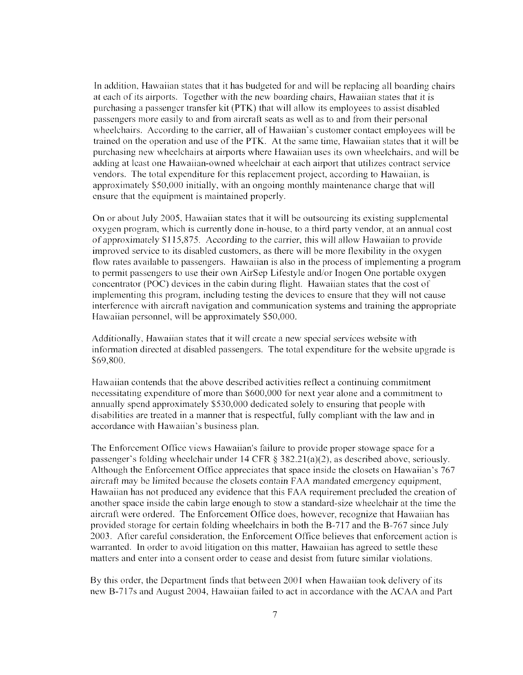In addition, Hawaiian states that it has budgeted for and will be replacing all boarding chairs at each of its airports. Together with the new boarding chairs, Hawaiian states that it is purchasing a passenger transfer kit (PTK) that will allow its employees to assist disabled passengers more easily to and from aircraft seats as well as to and from their personal wheelchairs. According to the carrier, all of Hawaiian's customer contact employees will be trained on the operation and use of the PTK. At the same time, Hawaiian states that it will be purchasing new 1%heelchairs at airports where Hawaiian uscs its own wheelchairs, and will be adding at least one Hawaiian-owned wheelchair at each airport that utilizes contract service vendors. The total expenditure for this replacement project, according to Hawaiian, is approxiinately SS0,OOO initially, with an ongoing monthly maintenance charge that will ensure that the equipment is maintained properly.

On or about July *2005,* Hawaiian states that it will be outsourcing its existing supplemental oxygen program, which is currently done in-house, to a third party vendor, at an annual cost of approximately \$115,875. According to the carrier, this will allow Hawaiian to provide improved service to its disabled customers, as there will be more flexibility in the oxygen flow rates available to passengers. Hawaiian is also in the process of implementing a program to permit passengers to use their own AirSep Lifestyle and/or Inogen One portable oxygen concentrator (POC) devices in the cabin during flight. Hawaiian states that the cost of implementing this program, including testing the devices to ensure that they will not cause interference with aircraft navigation and communication systems and training the appropriate Hawaiian personnel, will be approximately *\$50,000.* 

Additionally, Hawaiian states that it will create a new special services website with information directed at disabled passengers. The total expenditure for the website upgrade is \$69,800.

Hawaiian contends that the above described activities reflect a continuing commitment necessitating expenditure of inore than *\$600,000* for next year alone and a commitment to annually spend approximately \$530,000 dedicated solely to ensuring that people with disabilities are treated in **a** manner that is respectful, fully compliant with the law and in accordance with Hawaiian's business plan.

The Enforcement Office views Hawaiian's failure to provide proper stowage space for a passenger's folding w heelchair under 14 CFR **8** 382.21(a)(2), as described above, seriously. Although the Enforcement Office appreciates that space inside the closets on Hawaiian's 767 aircraft may be limited because the closets contain FAA mandated emergency equipment, Hawaiian has not produced any evidence that this FAA requirement precluded the creation of another space inside the cabin large enough to stow a standard-size wheelchair at the time the aircraft were ordered. The Enforcement Office does, however, recognize that Hawaiian has provided storage for certain folding wheelchairs in both the B-717 and the B-767 since July 2003. After careful consideration, the Enforcement Office believes that enforcement action is warranted. In order to avoid litigation on this matter, Hawaiian has agreed to settle these matters and enter into a consent order to cease and desist from future similar violations.

By this order, the Department finds that between 2001 when Hawaiian took delivery of its new B-7 17s and August 2004, Hawaiian failed to act in accordance with the ACAA and Part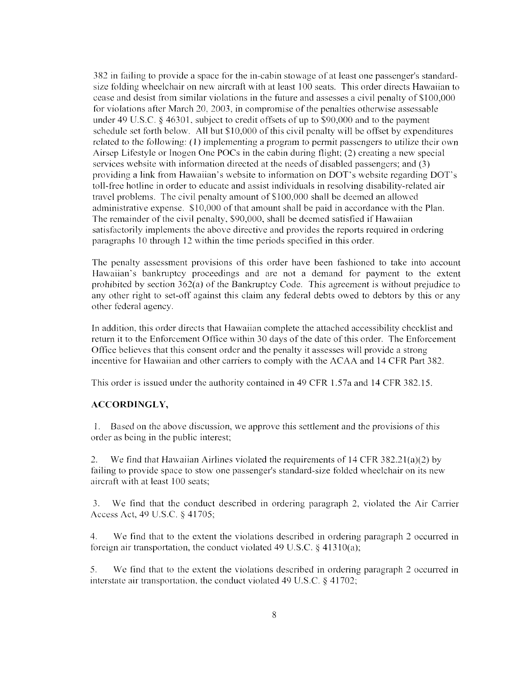382 in failing to provide a space for the in-cabin stowage of at least one passenger's standardsize folding wheelchair on new aircraft with at least 100 seats. This order directs Hawaiian to cease and desist from similar violations in the future and assesses a civil penalty of Sl00,000 for violations after March 20, 2003, in compromise of the penalties otherwise assessable under 49 U.S.C. *3* 46301, subject to credit offsets of up to \$90,000 and to the payment schedule set forth below. All but \$10,000 of this civil penalty will be offset by expenditures related to the following:  $(1)$  implementing a program to permit passengers to utilize their own Airsep Lifestyle or Inogen One POCs in the cabin during flight; (2) creating a new special services website with information directed at the needs of disabled passengers; and (3) providing a link from Hawaiian's website to information on DOT's website regarding DOT's toll-free hotline in order to educate and assist individuals in resolving disability-related air travel problems. The civil penalty amount of \$100,000 shall be deemed an allowed administrative expense. \$10,000 of that amount shall be paid in accordance with the Plan. The remainder of the civil penalty, \$90,000, shall be deemed satisfied if Hawaiian satisfactorily implements the above directive and provides the reports required in ordering paragraphs 10 through 12 within the time periods specified in this order.

The penalty assessment provisions of this order have been fashioned to take into account Hawaiian's bankruptcy proceedings and are not a demand for payment to the extent prohibitcd by section 362(a) of the Bankruptcy Code. This agreement is without prejudice to any other right to set-off against this claim any federal debts owed to debtors by this or any other federal agency.

In addition, this order directs that Hawaiian complete the attached accessibility checklist and return it to the Enforcement Office within 30 days of the date of this order. The Enforcement Office believes that this consent order and the penalty it assesses will provide a strong incentive for Hawaiian and other carriers to comply with the ACAA and 14 CFR Part 382.

This order is issued under the authority contained in 49 CFR 1.57a and 14 CFR 382.15.

### **ACCORDINGLY,**

1. Based on the above discussion, we approve this settlement and the provisions of this order as being in the public interest;

2. We find that Hawaiian Airlines violated the requirements of  $14$  CFR 382.21(a)(2) by failing to provide space to stow one passenger's standard-size folded wheelchair on its new aircraft with at least 100 seats;

3. We find that the conduct described in ordering paragraph 2, violated the Air Carrier Access Act, 49 U.S.C. \$ 41705;

4. We find that to the extent the violations described in ordering paragraph 2 occurred in foreign air transportation, the conduct violated 49 U.S.C.  $\S$  41310(a);

5. We find that to the extent the violations described in ordering paragraph 2 occurred in interstate air transportation, the conduct violated 49 U.S.C.  $\&$  41702;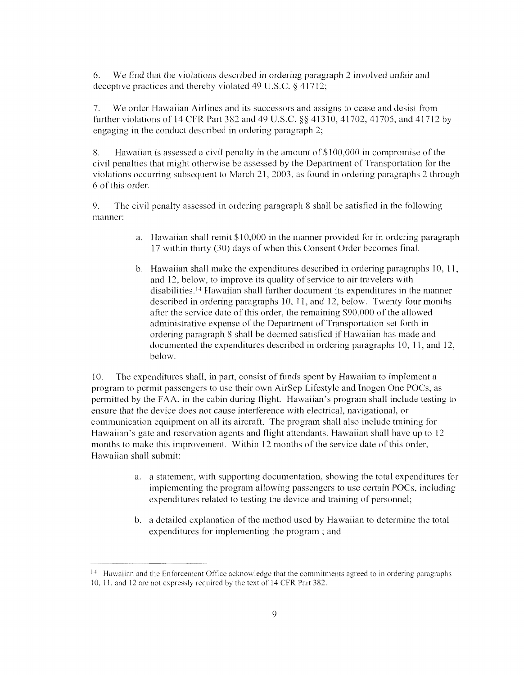6. We find that the violations described in ordering paragraph 2 involved unfair and deceptive practices and thereby violated 49 U.S.C. **9** 41712;

7. We order Hawaiian Airlines and its successors and assigns to cease and desist from further violations of 14 CFR Part 382 and 49 U.S.C.  $\&$  41310, 41702, 41705, and 41712 by engaging in the conduct described in ordering paragraph 2;

8. Hawaiian is assessed a civil penalty in the amount of \$100,000 in compromise of the civil penalties that might otherwise be assessed by the Department of Transportation for the violations occurring subsequent to March 21, 2003, as found in ordering paragraphs 2 through 6 of this order.

*9.* The civil penalty assessed in ordering paragraph 8 shall be satisfied in the following manner:

- a. Hawaiian shall remit \$10,000 in the manner provided for in ordering paragraph 17 within thirty (30) days of when this Consent Order becomes final.
- b. Hawaiian shall make the expenditures described in ordering paragraphs  $10, 11$ , and 12, below, to improve its quality of service to air travelers with disabilities.<sup>14</sup> Hawaiian shall further document its expenditures in the manner described in ordering paragraphs 10, 11, and 12, below. Twenty four months after the service date of this order, the remaining \$90,000 of the allowed administrative expense of the Department of Transportation set forth in ordering paragraph 8 shall be deemed satisfied if Hawaiian has made and documented the expenditures described in ordering paragraphs 10, 11, and 12, below.

10. The expenditures shall, in part, consist of funds spent by Hawaiian to implement a program to perinit passengers to use their own AirSep Lifestyle and Inogen One POCs, as permitted by the FAA, in the cabin during flight. Hawaiian's program shall include testing to ensure that the device does not cause interference with electrical, navigational, or communication equipment on all its aircraft. The program shall also include training for Hawaiian's gate and rcservalion agents and flight attendants. Hawaiian shall have up to 12 months to make this improvement. Within 12 months of the servicc date of this order, Hawaiian shall submit:

- *a.* a statement, with supporting documentation, showing the total expenditures for implementing the program allowing passengers to use certain POCs, including expenditures related to testing the device and training of personnel;
- b. a detailed explanation of the method used by Hawaiian to determine the total expenditures for implementing the program; and

 $14$  Hawaiian and the Enforcement Office acknowledge that the commitments agreed to in ordering paragraphs 10, 11, and 12 are not expressly required by the text of 14 CFR Part 382.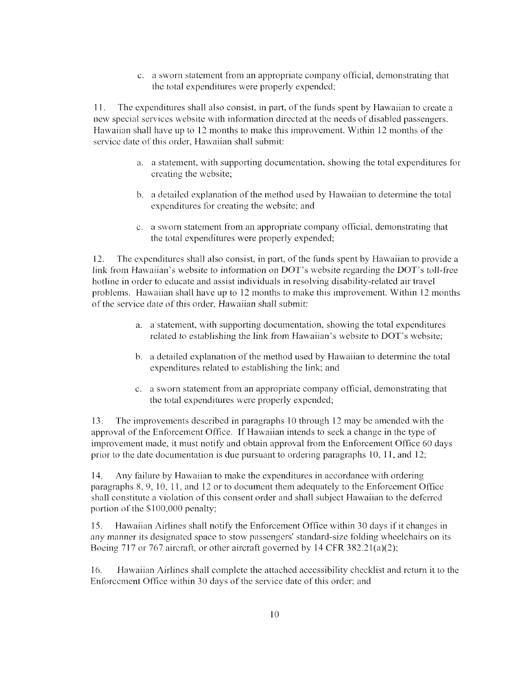c. a sworn statement from an appropriate company official, demonstrating that the total expenditures were properly expended;

1 1. The expenditures shall also consist, in part, of the funds spent by Hawaiian to create a new special services website with information directed at the needs of disabled passengers. Hawaiian shall have up to 12 months to make this improvement. Within 12 months of the service date of this order. Hawaiian shall submit:

- a. a statement, with supporting documentation, showing the total expenditures for creating the website;
- b. a detailed explanation of the method used by Hawaiian to determine the total expenditures for creating the website; and
- c. a sworn statement from an appropriate company official, demonstrating that the total expenditures were properly expended;

12. The expenditures shall also consist, in part, of the funds spent by Hawaiian to provide a link from Hawaiian's website to information on DOT's website regarding the DOT's toll-free hotline in order to educate and assist individuals in resolving disability-related air travel problems. Hawaiian shall have up to 12 months to make this improvement. Within 12 months of the service date of this order, Hawaiian shall submit:

- a. a statement, with supporting documentation, showing the total expenditures related to establishing the link from Hawaiian's website to DOT's website;
- b. a detailed explanation of the method used by Hawaiian to determine the total expcnditures related to establishing the link; and
- c. a sworn statement from an appropriate company official, demonstrating that the total expenditures were properly expended;

13. The improvements described in paragraphs 10 through 12 inay be amended with the approval of the Enforcement Office. If Hawaiian intends to seek a change in the type of improvement made, it must notify and obtain approval from the Enforcement Office 60 days prior to the date documentation is due pursuant to ordering paragraphs 10, 1I, and 12;

14. Any failure by Hawaiian to make the expenditures in accordance with ordering paragraphs  $8, 9, 10, 11,$  and  $12$  or to document them adequately to the Enforcement Office shall constitute a violation of this consent order and shall subject Hawaiian to the deferred portion of the **S**100,000 penalty;

15. Hawaiian Airlines shall notify the Enforcement Office within 30 days if it changes in any manner its designated space to stow passengers' standard-size folding wheelchairs on its Boeing 717 or 767 aircraft, or other aircraft governed by  $14$  CFR 382.21(a)(2);

16. Hawaiian Airlines shall complete the attached accessibility checklist and return it to the Enforcement Office within 30 days of the service date of this order; and